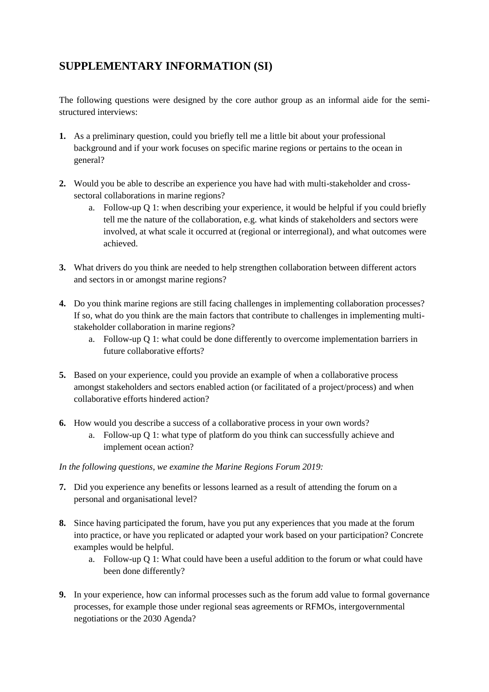## **SUPPLEMENTARY INFORMATION (SI)**

The following questions were designed by the core author group as an informal aide for the semistructured interviews:

- **1.** As a preliminary question, could you briefly tell me a little bit about your professional background and if your work focuses on specific marine regions or pertains to the ocean in general?
- **2.** Would you be able to describe an experience you have had with multi-stakeholder and crosssectoral collaborations in marine regions?
	- a. Follow-up Q 1: when describing your experience, it would be helpful if you could briefly tell me the nature of the collaboration, e.g. what kinds of stakeholders and sectors were involved, at what scale it occurred at (regional or interregional), and what outcomes were achieved.
- **3.** What drivers do you think are needed to help strengthen collaboration between different actors and sectors in or amongst marine regions?
- **4.** Do you think marine regions are still facing challenges in implementing collaboration processes? If so, what do you think are the main factors that contribute to challenges in implementing multistakeholder collaboration in marine regions?
	- a. Follow-up Q 1: what could be done differently to overcome implementation barriers in future collaborative efforts?
- **5.** Based on your experience, could you provide an example of when a collaborative process amongst stakeholders and sectors enabled action (or facilitated of a project/process) and when collaborative efforts hindered action?
- **6.** How would you describe a success of a collaborative process in your own words?
	- a. Follow-up Q 1: what type of platform do you think can successfully achieve and implement ocean action?

## *In the following questions, we examine the Marine Regions Forum 2019:*

- **7.** Did you experience any benefits or lessons learned as a result of attending the forum on a personal and organisational level?
- **8.** Since having participated the forum, have you put any experiences that you made at the forum into practice, or have you replicated or adapted your work based on your participation? Concrete examples would be helpful.
	- a. Follow-up Q 1: What could have been a useful addition to the forum or what could have been done differently?
- **9.** In your experience, how can informal processes such as the forum add value to formal governance processes, for example those under regional seas agreements or RFMOs, intergovernmental negotiations or the 2030 Agenda?